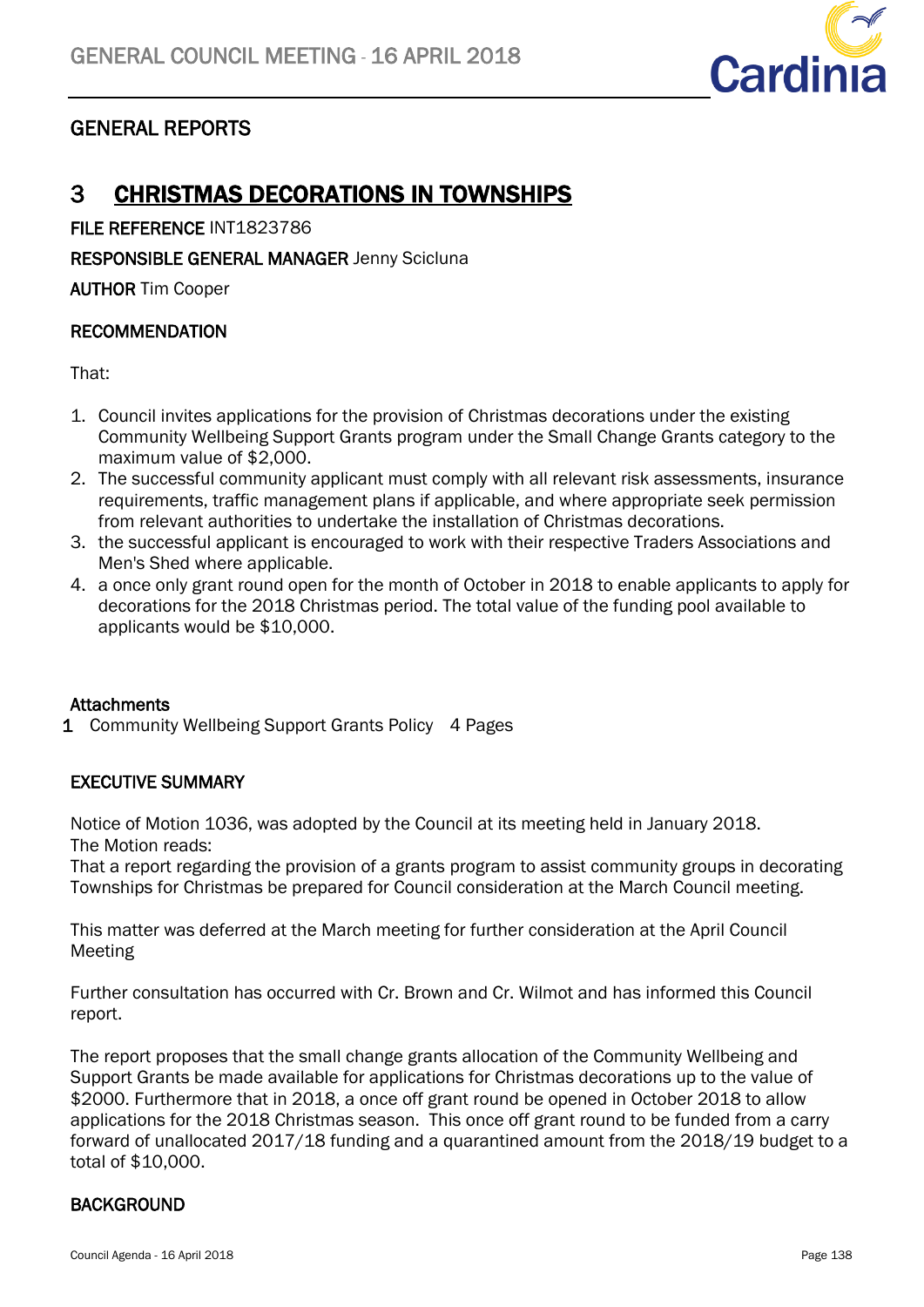

# GENERAL REPORTS

# 3 CHRISTMAS DECORATIONS IN TOWNSHIPS

FILE REFERENCE INT1823786

RESPONSIBLE GENERAL MANAGER Jenny Scicluna

AUTHOR Tim Cooper

## RECOMMENDATION

That:

- 1. Council invites applications for the provision of Christmas decorations under the existing Community Wellbeing Support Grants program under the Small Change Grants category to the maximum value of \$2,000.
- 2. The successful community applicant must comply with all relevant risk assessments, insurance requirements, traffic management plans if applicable, and where appropriate seek permission from relevant authorities to undertake the installation of Christmas decorations.
- 3. the successful applicant is encouraged to work with their respective Traders Associations and Men's Shed where applicable.
- 4. a once only grant round open for the month of October in 2018 to enable applicants to apply for decorations for the 2018 Christmas period. The total value of the funding pool available to applicants would be \$10,000.

## **Attachments**

1 Community Wellbeing Support Grants Policy 4 Pages

## EXECUTIVE SUMMARY

Notice of Motion 1036, was adopted by the Council at its meeting held in January 2018. The Motion reads:

That a report regarding the provision of a grants program to assist community groups in decorating Townships for Christmas be prepared for Council consideration at the March Council meeting.

This matter was deferred at the March meeting for further consideration at the April Council Meeting

Further consultation has occurred with Cr. Brown and Cr. Wilmot and has informed this Council report.

The report proposes that the small change grants allocation of the Community Wellbeing and Support Grants be made available for applications for Christmas decorations up to the value of \$2000. Furthermore that in 2018, a once off grant round be opened in October 2018 to allow applications for the 2018 Christmas season. This once off grant round to be funded from a carry forward of unallocated 2017/18 funding and a quarantined amount from the 2018/19 budget to a total of \$10,000.

## BACKGROUND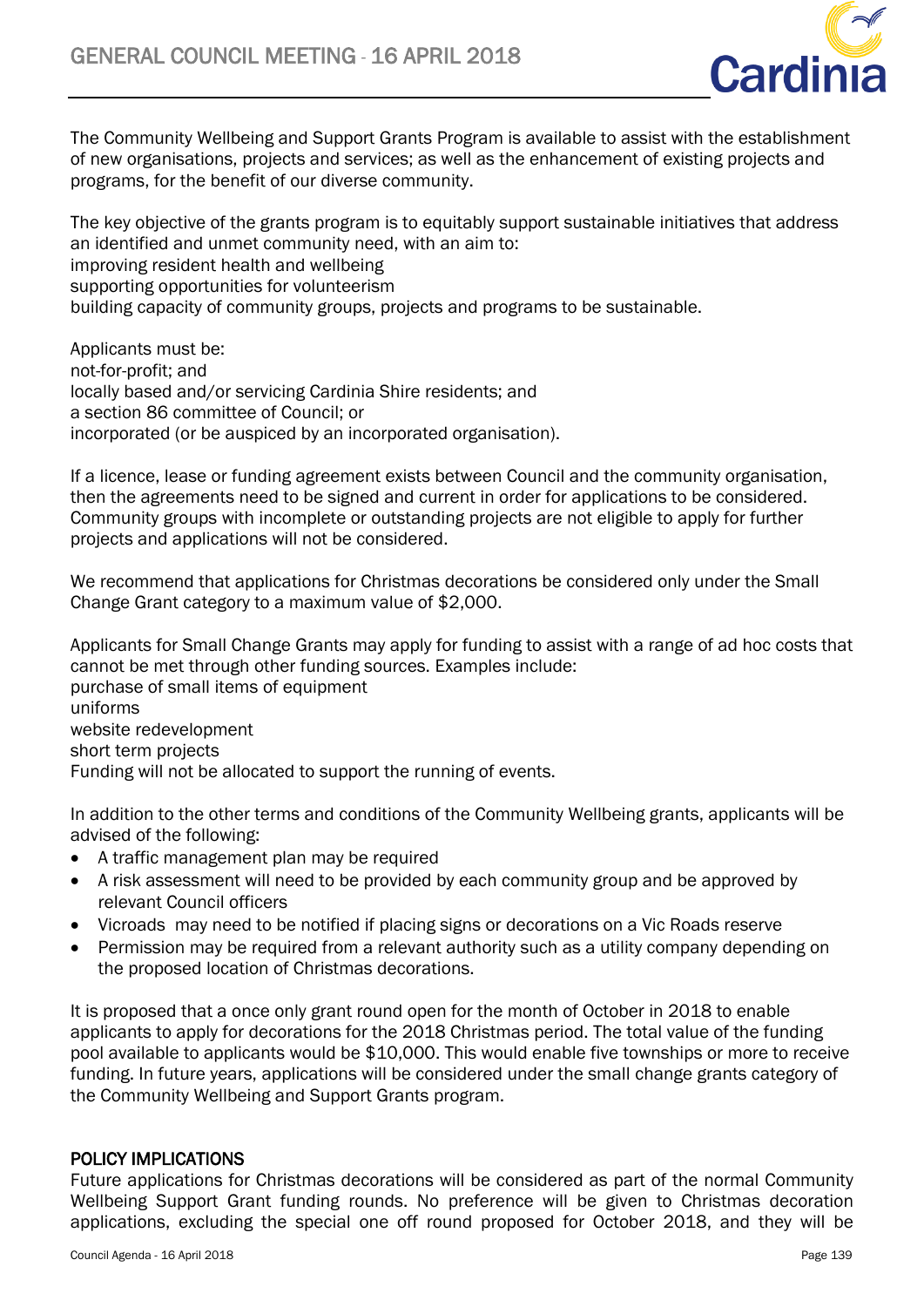

The Community Wellbeing and Support Grants Program is available to assist with the establishment of new organisations, projects and services; as well as the enhancement of existing projects and programs, for the benefit of our diverse community.

The key objective of the grants program is to equitably support sustainable initiatives that address an identified and unmet community need, with an aim to: improving resident health and wellbeing supporting opportunities for volunteerism building capacity of community groups, projects and programs to be sustainable.

Applicants must be: not-for-profit; and locally based and/or servicing Cardinia Shire residents; and a section 86 committee of Council; or incorporated (or be auspiced by an incorporated organisation).

If a licence, lease or funding agreement exists between Council and the community organisation, then the agreements need to be signed and current in order for applications to be considered. Community groups with incomplete or outstanding projects are not eligible to apply for further projects and applications will not be considered.

We recommend that applications for Christmas decorations be considered only under the Small Change Grant category to a maximum value of \$2,000.

Applicants for Small Change Grants may apply for funding to assist with a range of ad hoc costs that cannot be met through other funding sources. Examples include: purchase of small items of equipment uniforms website redevelopment short term projects Funding will not be allocated to support the running of events.

In addition to the other terms and conditions of the Community Wellbeing grants, applicants will be advised of the following:

- A traffic management plan may be required
- A risk assessment will need to be provided by each community group and be approved by relevant Council officers
- Vicroads may need to be notified if placing signs or decorations on a Vic Roads reserve
- Permission may be required from a relevant authority such as a utility company depending on the proposed location of Christmas decorations.

It is proposed that a once only grant round open for the month of October in 2018 to enable applicants to apply for decorations for the 2018 Christmas period. The total value of the funding pool available to applicants would be \$10,000. This would enable five townships or more to receive funding. In future years, applications will be considered under the small change grants category of the Community Wellbeing and Support Grants program.

## POLICY IMPLICATIONS

Future applications for Christmas decorations will be considered as part of the normal Community Wellbeing Support Grant funding rounds. No preference will be given to Christmas decoration applications, excluding the special one off round proposed for October 2018, and they will be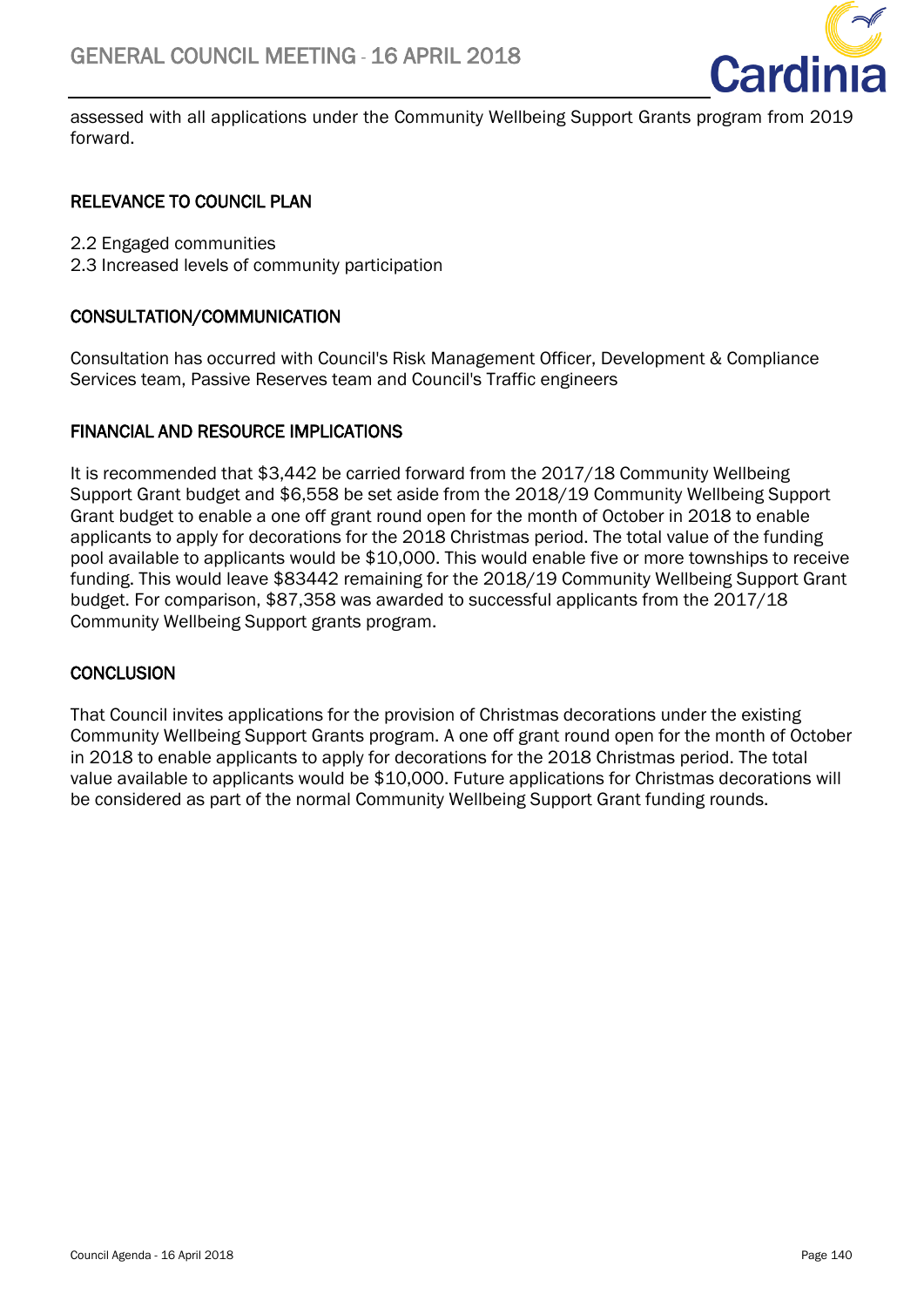

assessed with all applications under the Community Wellbeing Support Grants program from 2019 forward.

## RELEVANCE TO COUNCIL PLAN

2.2 Engaged communities

2.3 Increased levels of community participation

## CONSULTATION/COMMUNICATION

Consultation has occurred with Council's Risk Management Officer, Development & Compliance Services team, Passive Reserves team and Council's Traffic engineers

## FINANCIAL AND RESOURCE IMPLICATIONS

It is recommended that \$3,442 be carried forward from the 2017/18 Community Wellbeing Support Grant budget and \$6,558 be set aside from the 2018/19 Community Wellbeing Support Grant budget to enable a one off grant round open for the month of October in 2018 to enable applicants to apply for decorations for the 2018 Christmas period. The total value of the funding pool available to applicants would be \$10,000. This would enable five or more townships to receive funding. This would leave \$83442 remaining for the 2018/19 Community Wellbeing Support Grant budget. For comparison, \$87,358 was awarded to successful applicants from the 2017/18 Community Wellbeing Support grants program.

## **CONCLUSION**

That Council invites applications for the provision of Christmas decorations under the existing Community Wellbeing Support Grants program. A one off grant round open for the month of October in 2018 to enable applicants to apply for decorations for the 2018 Christmas period. The total value available to applicants would be \$10,000. Future applications for Christmas decorations will be considered as part of the normal Community Wellbeing Support Grant funding rounds.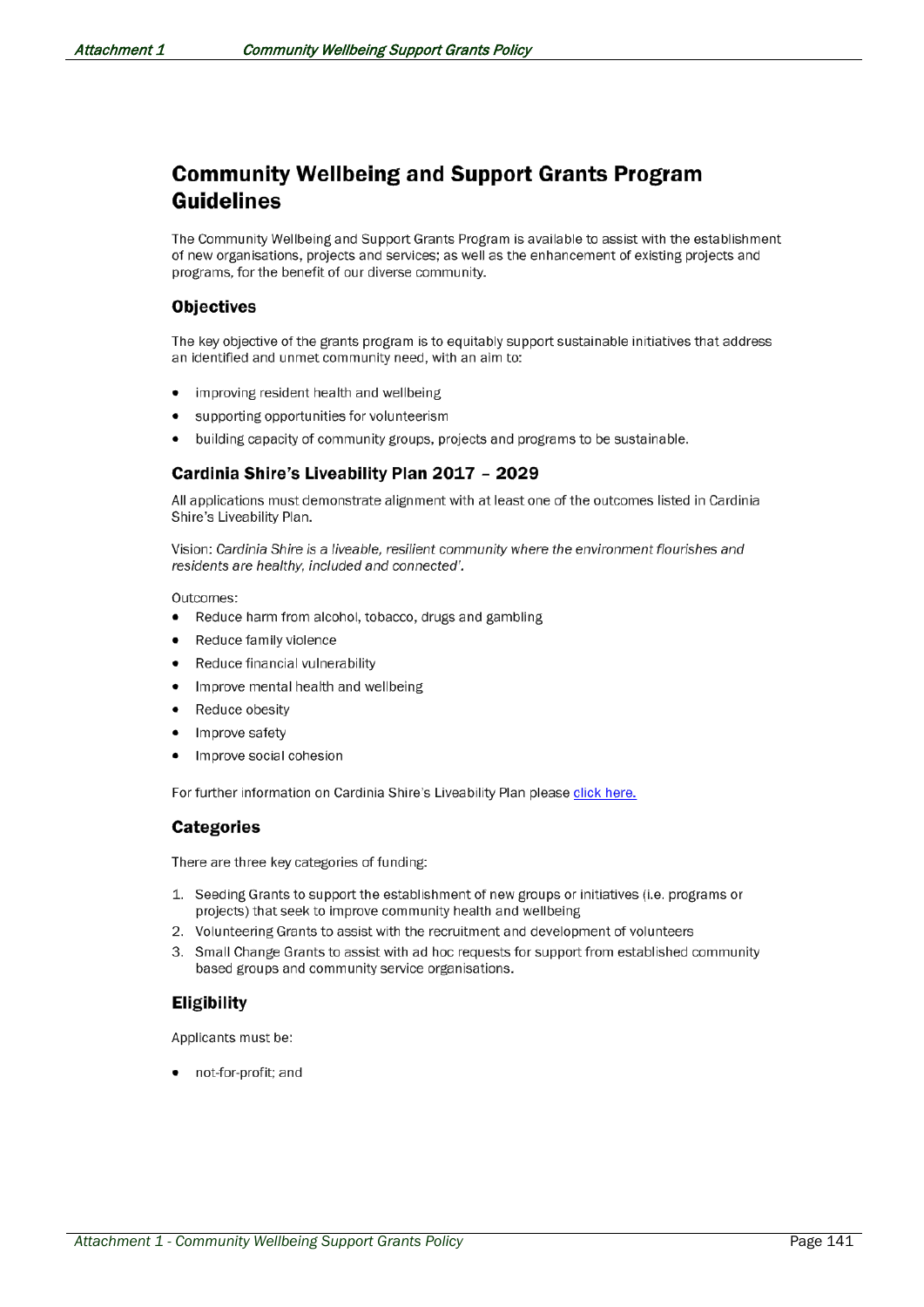# **Community Wellbeing and Support Grants Program Guidelines**

The Community Wellbeing and Support Grants Program is available to assist with the establishment of new organisations, projects and services; as well as the enhancement of existing projects and programs, for the benefit of our diverse community.

### **Objectives**

The key objective of the grants program is to equitably support sustainable initiatives that address an identified and unmet community need, with an aim to:

- improving resident health and wellbeing
- supporting opportunities for volunteerism
- building capacity of community groups, projects and programs to be sustainable.

### Cardinia Shire's Liveability Plan 2017 - 2029

All applications must demonstrate alignment with at least one of the outcomes listed in Cardinia Shire's Liveability Plan.

Vision: Cardinia Shire is a liveable, resilient community where the environment flourishes and residents are healthy, included and connected'.

Outcomes:

- $\bullet$ Reduce harm from alcohol, tobacco, drugs and gambling
- Reduce family violence
- Reduce financial vulnerability  $\bullet$
- Improve mental health and wellbeing  $\bullet$
- Reduce obesity  $\bullet$
- Improve safety
- Improve social cohesion

For further information on Cardinia Shire's Liveability Plan please click here.

### **Categories**

There are three key categories of funding:

- 1. Seeding Grants to support the establishment of new groups or initiatives (i.e. programs or projects) that seek to improve community health and wellbeing
- 2. Volunteering Grants to assist with the recruitment and development of volunteers
- 3. Small Change Grants to assist with ad hoc requests for support from established community based groups and community service organisations.

### **Eligibility**

Applicants must be:

not-for-profit; and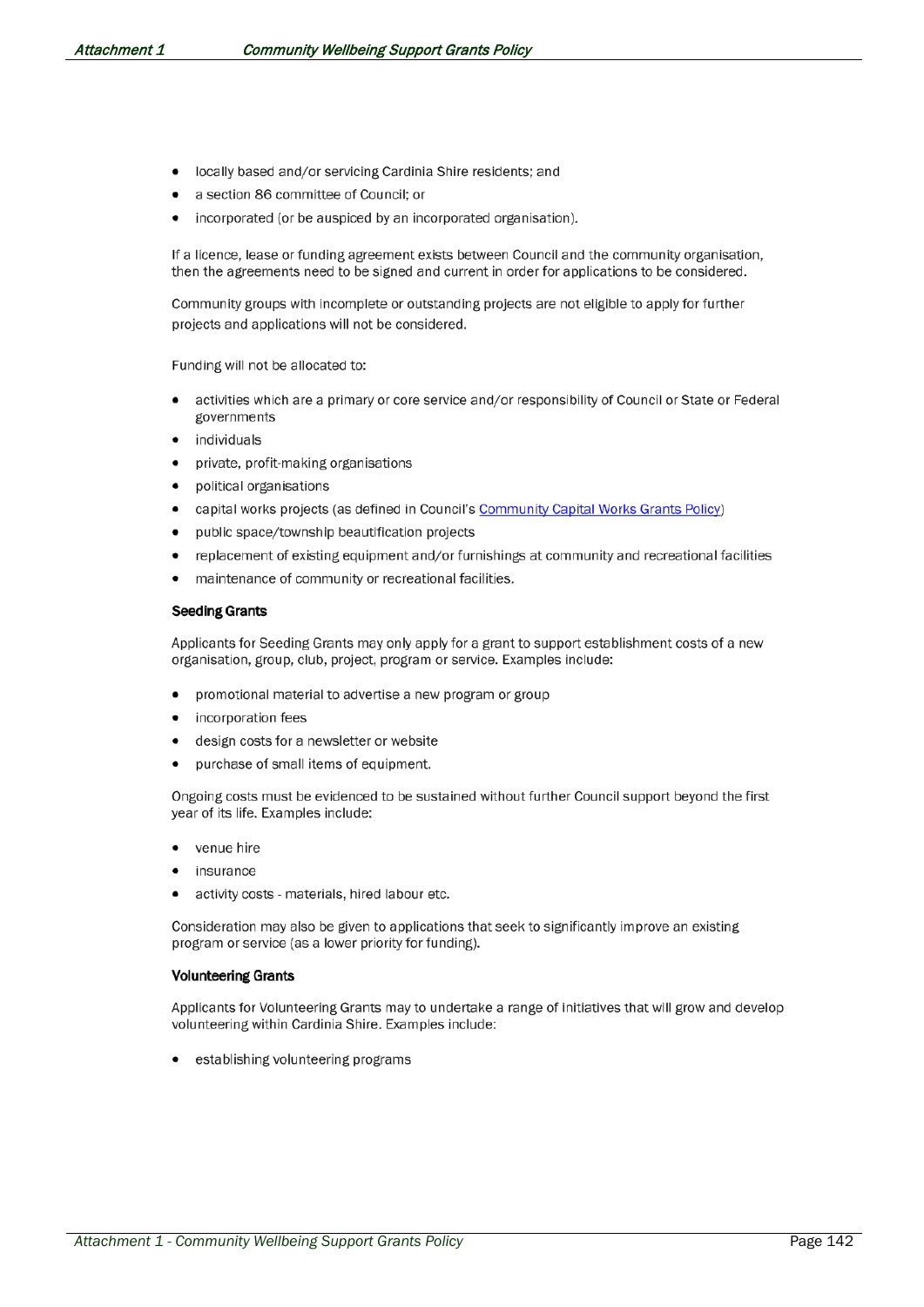- locally based and/or servicing Cardinia Shire residents; and
- a section 86 committee of Council; or
- incorporated (or be auspiced by an incorporated organisation).

If a licence, lease or funding agreement exists between Council and the community organisation, then the agreements need to be signed and current in order for applications to be considered.

Community groups with incomplete or outstanding projects are not eligible to apply for further projects and applications will not be considered.

Funding will not be allocated to:

- activities which are a primary or core service and/or responsibility of Council or State or Federal governments
- individuals
- private, profit-making organisations
- political organisations
- capital works projects (as defined in Council's Community Capital Works Grants Policy)
- public space/township beautification projects  $\bullet$
- replacement of existing equipment and/or furnishings at community and recreational facilities
- maintenance of community or recreational facilities.

### **Seeding Grants**

Applicants for Seeding Grants may only apply for a grant to support establishment costs of a new organisation, group, club, project, program or service. Examples include:

- promotional material to advertise a new program or group
- incorporation fees
- design costs for a newsletter or website
- purchase of small items of equipment.

Ongoing costs must be evidenced to be sustained without further Council support beyond the first year of its life. Examples include:

- venue hire
- insurance
- activity costs materials, hired labour etc.

Consideration may also be given to applications that seek to significantly improve an existing program or service (as a lower priority for funding).

#### **Volunteering Grants**

Applicants for Volunteering Grants may to undertake a range of initiatives that will grow and develop volunteering within Cardinia Shire. Examples include:

establishing volunteering programs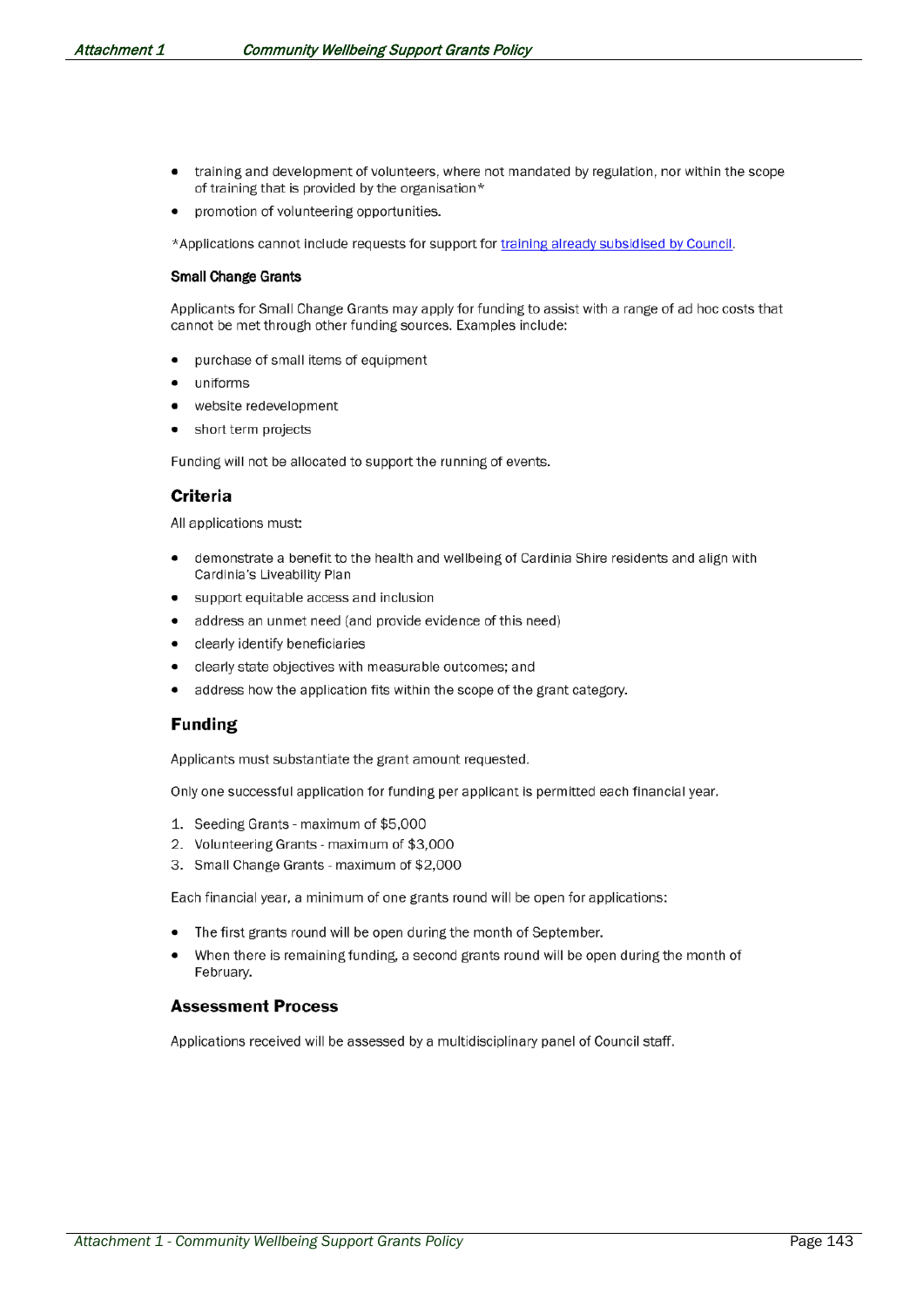- training and development of volunteers, where not mandated by regulation, nor within the scope of training that is provided by the organisation\*
- promotion of volunteering opportunities.

\*Applications cannot include requests for support for training already subsidised by Council.

#### **Small Change Grants**

Applicants for Small Change Grants may apply for funding to assist with a range of ad hoc costs that cannot be met through other funding sources. Examples include:

- purchase of small items of equipment  $\bullet$
- uniforms
- website redevelopment
- short term projects

Funding will not be allocated to support the running of events.

#### Criteria

All applications must:

- demonstrate a benefit to the health and wellbeing of Cardinia Shire residents and align with Cardinia's Liveability Plan
- support equitable access and inclusion
- address an unmet need (and provide evidence of this need)  $\bullet$
- clearly identify beneficiaries  $\bullet$
- clearly state objectives with measurable outcomes; and
- address how the application fits within the scope of the grant category.  $\bullet$

### **Funding**

Applicants must substantiate the grant amount requested.

Only one successful application for funding per applicant is permitted each financial year.

- 1. Seeding Grants maximum of \$5,000
- 2. Volunteering Grants maximum of \$3,000
- 3. Small Change Grants maximum of \$2,000

Each financial year, a minimum of one grants round will be open for applications:

- The first grants round will be open during the month of September.
- When there is remaining funding, a second grants round will be open during the month of February.

#### **Assessment Process**

Applications received will be assessed by a multidisciplinary panel of Council staff.